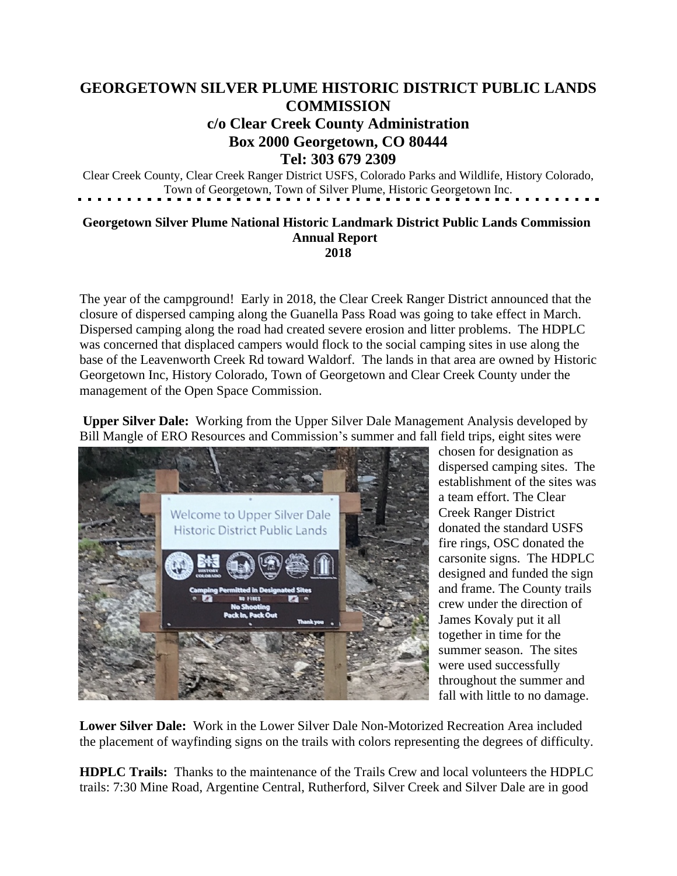## **GEORGETOWN SILVER PLUME HISTORIC DISTRICT PUBLIC LANDS COMMISSION**

## **c/o Clear Creek County Administration Box 2000 Georgetown, CO 80444 Tel: 303 679 2309**

Clear Creek County, Clear Creek Ranger District USFS, Colorado Parks and Wildlife, History Colorado, Town of Georgetown, Town of Silver Plume, Historic Georgetown Inc.

## **Georgetown Silver Plume National Historic Landmark District Public Lands Commission Annual Report 2018**

The year of the campground! Early in 2018, the Clear Creek Ranger District announced that the closure of dispersed camping along the Guanella Pass Road was going to take effect in March. Dispersed camping along the road had created severe erosion and litter problems. The HDPLC was concerned that displaced campers would flock to the social camping sites in use along the base of the Leavenworth Creek Rd toward Waldorf. The lands in that area are owned by Historic Georgetown Inc, History Colorado, Town of Georgetown and Clear Creek County under the management of the Open Space Commission.

**Upper Silver Dale:** Working from the Upper Silver Dale Management Analysis developed by Bill Mangle of ERO Resources and Commission's summer and fall field trips, eight sites were



chosen for designation as dispersed camping sites. The establishment of the sites was a team effort. The Clear Creek Ranger District donated the standard USFS fire rings, OSC donated the carsonite signs. The HDPLC designed and funded the sign and frame. The County trails crew under the direction of James Kovaly put it all together in time for the summer season. The sites were used successfully throughout the summer and fall with little to no damage.

**Lower Silver Dale:** Work in the Lower Silver Dale Non-Motorized Recreation Area included the placement of wayfinding signs on the trails with colors representing the degrees of difficulty.

**HDPLC Trails:** Thanks to the maintenance of the Trails Crew and local volunteers the HDPLC trails: 7:30 Mine Road, Argentine Central, Rutherford, Silver Creek and Silver Dale are in good